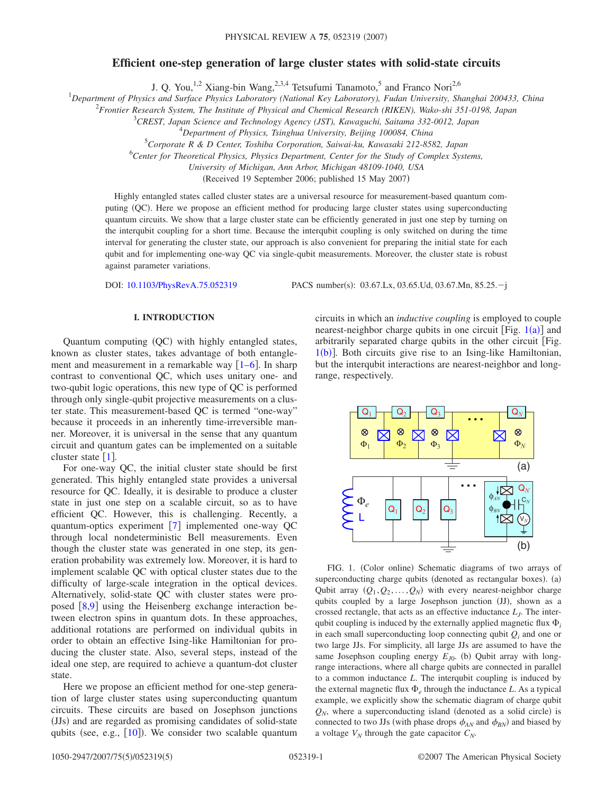# **Efficient one-step generation of large cluster states with solid-state circuits**

J. Q. You,<sup>1,2</sup> Xiang-bin Wang,<sup>2,3,4</sup> Tetsufumi Tanamoto,<sup>5</sup> and Franco Nori<sup>2,6</sup>

1 *Department of Physics and Surface Physics Laboratory (National Key Laboratory), Fudan University, Shanghai 200433, China*

2 *Frontier Research System, The Institute of Physical and Chemical Research (RIKEN), Wako-shi 351-0198, Japan*

3 *CREST, Japan Science and Technology Agency (JST), Kawaguchi, Saitama 332-0012, Japan*

4 *Department of Physics, Tsinghua University, Beijing 100084, China*

5 *Corporate R & D Center, Toshiba Corporation, Saiwai-ku, Kawasaki 212-8582, Japan*

6 *Center for Theoretical Physics, Physics Department, Center for the Study of Complex Systems,*

*University of Michigan, Ann Arbor, Michigan 48109-1040, USA*

(Received 19 September 2006; published 15 May 2007)

Highly entangled states called cluster states are a universal resource for measurement-based quantum computing (QC). Here we propose an efficient method for producing large cluster states using superconducting quantum circuits. We show that a large cluster state can be efficiently generated in just one step by turning on the interqubit coupling for a short time. Because the interqubit coupling is only switched on during the time interval for generating the cluster state, our approach is also convenient for preparing the initial state for each qubit and for implementing one-way QC via single-qubit measurements. Moreover, the cluster state is robust against parameter variations.

DOI: [10.1103/PhysRevA.75.052319](http://dx.doi.org/10.1103/PhysRevA.75.052319)

PACS number(s): 03.67.Lx, 03.65.Ud, 03.67.Mn, 85.25. - j

### **I. INTRODUCTION**

Quantum computing (QC) with highly entangled states, known as cluster states, takes advantage of both entanglement and measurement in a remarkable way  $\lceil 1-6 \rceil$  $\lceil 1-6 \rceil$  $\lceil 1-6 \rceil$ . In sharp contrast to conventional QC, which uses unitary one- and two-qubit logic operations, this new type of QC is performed through only single-qubit projective measurements on a cluster state. This measurement-based QC is termed "one-way" because it proceeds in an inherently time-irreversible manner. Moreover, it is universal in the sense that any quantum circuit and quantum gates can be implemented on a suitable cluster state  $\lceil 1 \rceil$  $\lceil 1 \rceil$  $\lceil 1 \rceil$ .

For one-way QC, the initial cluster state should be first generated. This highly entangled state provides a universal resource for QC. Ideally, it is desirable to produce a cluster state in just one step on a scalable circuit, so as to have efficient QC. However, this is challenging. Recently, a quantum-optics experiment  $|7|$  $|7|$  $|7|$  implemented one-way QC through local nondeterministic Bell measurements. Even though the cluster state was generated in one step, its generation probability was extremely low. Moreover, it is hard to implement scalable QC with optical cluster states due to the difficulty of large-scale integration in the optical devices. Alternatively, solid-state QC with cluster states were proposed  $[8,9]$  $[8,9]$  $[8,9]$  $[8,9]$  using the Heisenberg exchange interaction between electron spins in quantum dots. In these approaches, additional rotations are performed on individual qubits in order to obtain an effective Ising-like Hamiltonian for producing the cluster state. Also, several steps, instead of the ideal one step, are required to achieve a quantum-dot cluster state.

Here we propose an efficient method for one-step generation of large cluster states using superconducting quantum circuits. These circuits are based on Josephson junctions (JJs) and are regarded as promising candidates of solid-state qubits (see, e.g., [[10](#page-4-5)]). We consider two scalable quantum

circuits in which an *inductive coupling* is employed to couple nearest-neighbor charge qubits in one circuit [Fig.  $1(a)$  $1(a)$ ] and arbitrarily separated charge qubits in the other circuit Fig.  $1(b)$  $1(b)$ ]. Both circuits give rise to an Ising-like Hamiltonian, but the interqubit interactions are nearest-neighbor and longrange, respectively.

<span id="page-0-0"></span>

FIG. 1. (Color online) Schematic diagrams of two arrays of superconducting charge qubits (denoted as rectangular boxes). (a) Qubit array  $(Q_1, Q_2, \ldots, Q_N)$  with every nearest-neighbor charge qubits coupled by a large Josephson junction (JJ), shown as a crossed rectangle, that acts as an effective inductance *LJ*. The interqubit coupling is induced by the externally applied magnetic flux  $\Phi_i$ in each small superconducting loop connecting qubit  $Q_i$  and one or two large JJs. For simplicity, all large JJs are assumed to have the same Josephson coupling energy  $E_{J0}$ . (b) Qubit array with longrange interactions, where all charge qubits are connected in parallel to a common inductance *L*. The interqubit coupling is induced by the external magnetic flux  $\Phi_e$  through the inductance *L*. As a typical example, we explicitly show the schematic diagram of charge qubit  $Q_N$ , where a superconducting island (denoted as a solid circle) is connected to two JJs (with phase drops  $\phi_{AN}$  and  $\phi_{BN}$ ) and biased by a voltage  $V_N$  through the gate capacitor  $C_N$ .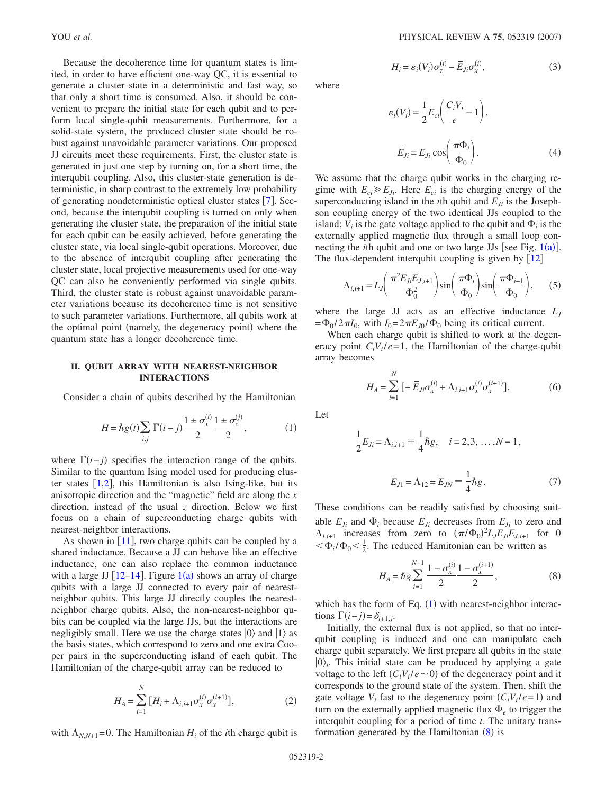Because the decoherence time for quantum states is limited, in order to have efficient one-way QC, it is essential to generate a cluster state in a deterministic and fast way, so that only a short time is consumed. Also, it should be convenient to prepare the initial state for each qubit and to perform local single-qubit measurements. Furthermore, for a solid-state system, the produced cluster state should be robust against unavoidable parameter variations. Our proposed JJ circuits meet these requirements. First, the cluster state is generated in just one step by turning on, for a short time, the interqubit coupling. Also, this cluster-state generation is deterministic, in sharp contrast to the extremely low probability of generating nondeterministic optical cluster states  $\lceil 7 \rceil$  $\lceil 7 \rceil$  $\lceil 7 \rceil$ . Second, because the interqubit coupling is turned on only when generating the cluster state, the preparation of the initial state for each qubit can be easily achieved, before generating the cluster state, via local single-qubit operations. Moreover, due to the absence of interqubit coupling after generating the cluster state, local projective measurements used for one-way QC can also be conveniently performed via single qubits. Third, the cluster state is robust against unavoidable parameter variations because its decoherence time is not sensitive to such parameter variations. Furthermore, all qubits work at the optimal point (namely, the degeneracy point) where the quantum state has a longer decoherence time.

## **II. QUBIT ARRAY WITH NEAREST-NEIGHBOR INTERACTIONS**

<span id="page-1-0"></span>Consider a chain of qubits described by the Hamiltonian

$$
H = \hbar g(t) \sum_{i,j} \Gamma(i-j) \frac{1 \pm \sigma_x^{(i)}}{2} \frac{1 \pm \sigma_x^{(j)}}{2},
$$
 (1)

where  $\Gamma(i-j)$  specifies the interaction range of the qubits. Similar to the quantum Ising model used for producing cluster states  $[1,2]$  $[1,2]$  $[1,2]$  $[1,2]$ , this Hamiltonian is also Ising-like, but its anisotropic direction and the "magnetic" field are along the *x* direction, instead of the usual *z* direction. Below we first focus on a chain of superconducting charge qubits with nearest-neighbor interactions.

As shown in  $[11]$  $[11]$  $[11]$ , two charge qubits can be coupled by a shared inductance. Because a JJ can behave like an effective inductance, one can also replace the common inductance with a large JJ  $[12-14]$  $[12-14]$  $[12-14]$ . Figure  $1(a)$  $1(a)$  shows an array of charge qubits with a large JJ connected to every pair of nearestneighbor qubits. This large JJ directly couples the nearestneighbor charge qubits. Also, the non-nearest-neighbor qubits can be coupled via the large JJs, but the interactions are negligibly small. Here we use the charge states  $|0\rangle$  and  $|1\rangle$  as the basis states, which correspond to zero and one extra Cooper pairs in the superconducting island of each qubit. The Hamiltonian of the charge-qubit array can be reduced to

$$
H_A = \sum_{i=1}^{N} \left[ H_i + \Lambda_{i,i+1} \sigma_x^{(i)} \sigma_x^{(i+1)} \right],\tag{2}
$$

with  $\Lambda_{N,N+1}$ =0. The Hamiltonian  $H_i$  of the *i*th charge qubit is

 $, \t(3)$ 

where

$$
\varepsilon_i(V_i) = \frac{1}{2} E_{ci} \left( \frac{C_i V_i}{e} - 1 \right),
$$
  

$$
\overline{E}_{Ji} = E_{Ji} \cos \left( \frac{\pi \Phi_i}{\Phi_0} \right).
$$
 (4)

We assume that the charge qubit works in the charging regime with  $E_{ci} \ge E_{Ji}$ . Here  $E_{ci}$  is the charging energy of the superconducting island in the *i*th qubit and  $E_{Ji}$  is the Josephson coupling energy of the two identical JJs coupled to the island;  $V_i$  is the gate voltage applied to the qubit and  $\Phi_i$  is the externally applied magnetic flux through a small loop connecting the *i*th qubit and one or two large JJs [see Fig.  $1(a)$  $1(a)$ ]. The flux-dependent interqubit coupling is given by  $\lceil 12 \rceil$  $\lceil 12 \rceil$  $\lceil 12 \rceil$ 

 $H_i = \varepsilon_i(V_i)\sigma_z^{(i)} - \overline{E}_{Ji}\sigma_x^{(i)}$ 

$$
\Lambda_{i,i+1} = L_j \left( \frac{\pi^2 E_{ji} E_{j,i+1}}{\Phi_0^2} \right) \sin \left( \frac{\pi \Phi_i}{\Phi_0} \right) \sin \left( \frac{\pi \Phi_{i+1}}{\Phi_0} \right), \quad (5)
$$

where the large JJ acts as an effective inductance *LJ*  $= \Phi_0 / 2 \pi I_0$ , with  $I_0 = 2 \pi E_{J_0} / \Phi_0$  being its critical current.

When each charge qubit is shifted to work at the degeneracy point  $C_i V_i / e = 1$ , the Hamiltonian of the charge-qubit array becomes

$$
H_A = \sum_{i=1}^{N} \left[ -\overline{E}_{Ji} \sigma_x^{(i)} + \Lambda_{i,i+1} \sigma_x^{(i)} \sigma_x^{(i+1)} \right].
$$
 (6)

Let

$$
\frac{1}{2}\bar{E}_{Ji} = \Lambda_{i,i+1} \equiv \frac{1}{4}\hbar g, \quad i = 2, 3, \dots, N - 1,
$$

$$
\bar{E}_{J1} = \Lambda_{12} = \bar{E}_{JN} \equiv \frac{1}{4}\hbar g.
$$
(7)

These conditions can be readily satisfied by choosing suitable  $E_{ji}$  and  $\Phi_i$  because  $\overline{E}_{ji}$  decreases from  $E_{ji}$  to zero and  $\Lambda_{i,i+1}$  increases from zero to  $(\pi/\Phi_0)^2 L_j E_{J,i} E_{J,i+1}$  for 0  $\langle \Phi_i/\Phi_0 \langle \frac{1}{2} \rangle$ . The reduced Hamitonian can be written as

$$
H_A = \hbar g \sum_{i=1}^{N-1} \frac{1 - \sigma_x^{(i)}}{2} \frac{1 - \sigma_x^{(i+1)}}{2},
$$
 (8)

<span id="page-1-1"></span>which has the form of Eq.  $(1)$  $(1)$  $(1)$  with nearest-neighbor interactions  $\Gamma(i-j) = \delta_{i+1,j}$ .

Initially, the external flux is not applied, so that no interqubit coupling is induced and one can manipulate each charge qubit separately. We first prepare all qubits in the state  $|0\rangle$ <sub>i</sub>. This initial state can be produced by applying a gate voltage to the left  $(C_i V_i / e \sim 0)$  of the degeneracy point and it corresponds to the ground state of the system. Then, shift the gate voltage  $V_i$  fast to the degeneracy point  $(C_i V_i / e = 1)$  and turn on the externally applied magnetic flux  $\Phi_e$  to trigger the interqubit coupling for a period of time *t*. The unitary transformation generated by the Hamiltonian  $(8)$  $(8)$  $(8)$  is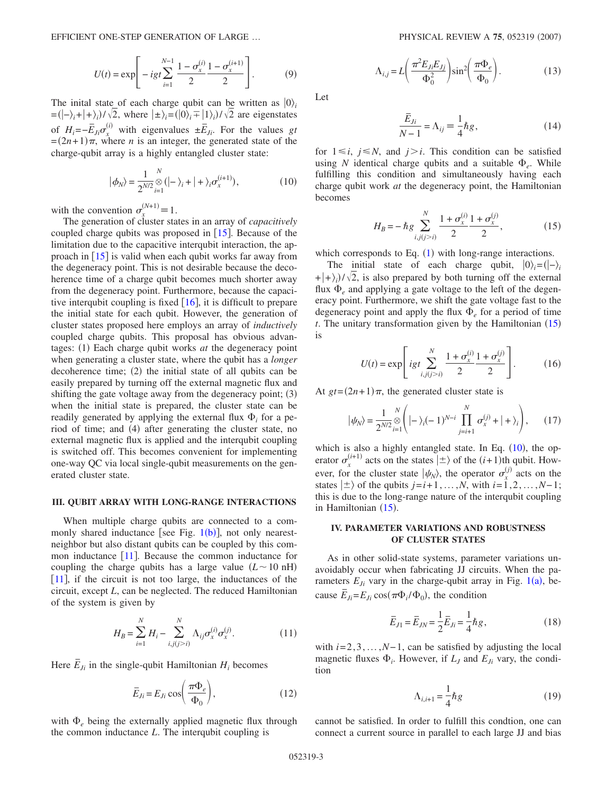EFFICIENT ONE-STEP GENERATION OF LARGE ...

$$
U(t) = \exp\left[-ig t \sum_{i=1}^{N-1} \frac{1 - \sigma_x^{(i)}}{2} \frac{1 - \sigma_x^{(i+1)}}{2}\right].
$$
 (9)

The initial state of each charge qubit can be written as  $|0\rangle$  $=$  $(\vert -\rangle_i + \vert +\rangle_i)/\sqrt{2}$ , where  $\vert \pm \rangle_i = (\vert 0\rangle_i + \vert 1\rangle_i)/\sqrt{2}$  are eigenstates of  $H_i = -\overline{E}_{Ji}\sigma_x^{(i)}$  with eigenvalues  $\pm \overline{E}_{Ji}$ . For the values *gt*  $=(2n+1)\pi$ , where *n* is an integer, the generated state of the charge-qubit array is a highly entangled cluster state:

$$
|\phi_N\rangle = \frac{1}{2^{N/2}} \mathop{\otimes}_{i=1}^N (|- \rangle_i + |+ \rangle_i \sigma_x^{(i+1)}), \tag{10}
$$

<span id="page-2-1"></span>with the convention  $\sigma_x^{(N+1)} \equiv 1$ .

The generation of cluster states in an array of *capacitively* coupled charge qubits was proposed in  $[15]$  $[15]$  $[15]$ . Because of the limitation due to the capacitive interqubit interaction, the approach in  $\lceil 15 \rceil$  $\lceil 15 \rceil$  $\lceil 15 \rceil$  is valid when each qubit works far away from the degeneracy point. This is not desirable because the decoherence time of a charge qubit becomes much shorter away from the degeneracy point. Furthermore, because the capacitive interqubit coupling is fixed  $[16]$  $[16]$  $[16]$ , it is difficult to prepare the initial state for each qubit. However, the generation of cluster states proposed here employs an array of *inductively* coupled charge qubits. This proposal has obvious advantages: (1) Each charge qubit works *at* the degeneracy point when generating a cluster state, where the qubit has a *longer* decoherence time; (2) the initial state of all qubits can be easily prepared by turning off the external magnetic flux and shifting the gate voltage away from the degeneracy point; (3) when the initial state is prepared, the cluster state can be readily generated by applying the external flux  $\Phi_i$  for a period of time; and (4) after generating the cluster state, no external magnetic flux is applied and the interqubit coupling is switched off. This becomes convenient for implementing one-way QC via local single-qubit measurements on the generated cluster state.

#### **III. QUBIT ARRAY WITH LONG-RANGE INTERACTIONS**

When multiple charge qubits are connected to a commonly shared inductance [see Fig.  $1(b)$  $1(b)$ ], not only nearestneighbor but also distant qubits can be coupled by this common inductance  $[11]$  $[11]$  $[11]$ . Because the common inductance for coupling the charge qubits has a large value  $(L \sim 10 \text{ nH})$  $[11]$  $[11]$  $[11]$ , if the circuit is not too large, the inductances of the circuit, except *L*, can be neglected. The reduced Hamiltonian of the system is given by

$$
H_B = \sum_{i=1}^{N} H_i - \sum_{i,j(j>i)}^{N} \Lambda_{ij} \sigma_x^{(i)} \sigma_x^{(j)}.
$$
 (11)

Here  $\overline{E}_{Ji}$  in the single-qubit Hamiltonian  $H_i$  becomes

$$
\overline{E}_{Ji} = E_{Ji} \cos\left(\frac{\pi \Phi_e}{\Phi_0}\right),\tag{12}
$$

with  $\Phi_e$  being the externally applied magnetic flux through the common inductance *L*. The interqubit coupling is

$$
\Lambda_{i,j} = L\left(\frac{\pi^2 E_{Ji} E_{Jj}}{\Phi_0^2}\right) \sin^2\left(\frac{\pi \Phi_e}{\Phi_0}\right). \tag{13}
$$

Let

$$
\frac{\overline{E}_{Ji}}{N-1} = \Lambda_{ij} \equiv \frac{1}{4} \hbar g,\tag{14}
$$

for  $1 \leq i$ ,  $j \leq N$ , and  $j > i$ . This condition can be satisfied using *N* identical charge qubits and a suitable  $\Phi_e$ . While fulfilling this condition and simultaneously having each charge qubit work *at* the degeneracy point, the Hamiltonian becomes

$$
H_B = -\hbar g \sum_{i,j(j>i)}^{N} \frac{1 + \sigma_x^{(i)}}{2} \frac{1 + \sigma_x^{(j)}}{2},
$$
 (15)

<span id="page-2-0"></span>which corresponds to Eq.  $(1)$  $(1)$  $(1)$  with long-range interactions.

The initial state of each charge qubit,  $|0\rangle_i = (|- \rangle_i$  $+|+\rangle_i/\sqrt{2}$ , is also prepared by both turning off the external flux  $\Phi_e$  and applying a gate voltage to the left of the degeneracy point. Furthermore, we shift the gate voltage fast to the degeneracy point and apply the flux  $\Phi_e$  for a period of time  $t$ . The unitary transformation given by the Hamiltonian  $(15)$  $(15)$  $(15)$ is

$$
U(t) = \exp\left[ igt \sum_{i,j(j>i)}^{N} \frac{1 + \sigma_x^{(i)}}{2} \frac{1 + \sigma_x^{(j)}}{2} \right].
$$
 (16)

At  $gt = (2n + 1)\pi$ , the generated cluster state is

$$
|\psi_N\rangle = \frac{1}{2^{N/2}} \mathop{\otimes}\limits_{i=1}^N \left( |-\rangle_i (-1)^{N-i} \prod_{j=i+1}^N \sigma_x^{(j)} + |+\rangle_i \right), \qquad (17)
$$

which is also a highly entangled state. In Eq.  $(10)$  $(10)$  $(10)$ , the operator  $\sigma_x^{(i+1)}$  acts on the states  $|\pm\rangle$  of the  $(i+1)$ th qubit. However, for the cluster state  $|\psi_N\rangle$ , the operator  $\sigma_x^{(j)}$  acts on the states  $|\pm\rangle$  of the qubits  $j=i+1,\ldots,N$ , with  $i=\hat{1},2,\ldots,N-1$ ; this is due to the long-range nature of the interqubit coupling in Hamiltonian ([15](#page-2-0)).

## **IV. PARAMETER VARIATIONS AND ROBUSTNESS OF CLUSTER STATES**

As in other solid-state systems, parameter variations unavoidably occur when fabricating JJ circuits. When the parameters  $E_{Ji}$  vary in the charge-qubit array in Fig. [1](#page-0-0)(a), because  $\vec{E}_{J_i} = E_{J_i} \cos(\pi \Phi_i / \Phi_0)$ , the condition

$$
\bar{E}_{J1} = \bar{E}_{JN} = \frac{1}{2}\bar{E}_{Ji} = \frac{1}{4}\hbar g,
$$
\n(18)

with *i*=2,3,...,*N*− 1, can be satisfied by adjusting the local magnetic fluxes  $\Phi_i$ . However, if  $L_j$  and  $E_{J_i}$  vary, the condition

$$
\Lambda_{i,i+1} = \frac{1}{4}\hbar g \tag{19}
$$

<span id="page-2-2"></span>cannot be satisfied. In order to fulfill this condtion, one can connect a current source in parallel to each large JJ and bias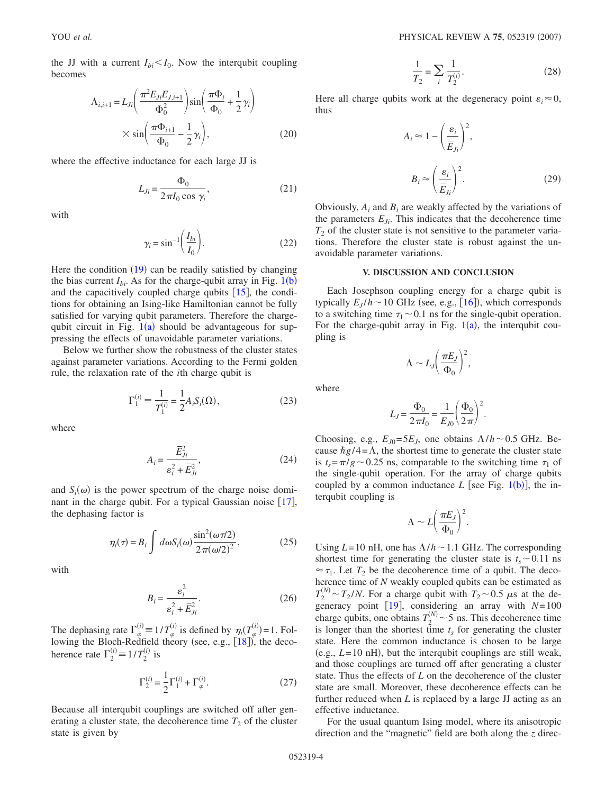the JJ with a current  $I_{bi} < I_0$ . Now the interqubit coupling becomes

$$
\Lambda_{i,i+1} = L_{Ji} \left( \frac{\pi^2 E_{Ji} E_{J,i+1}}{\Phi_0^2} \right) \sin \left( \frac{\pi \Phi_i}{\Phi_0} + \frac{1}{2} \gamma_i \right)
$$

$$
\times \sin \left( \frac{\pi \Phi_{i+1}}{\Phi_0} - \frac{1}{2} \gamma_i \right), \tag{20}
$$

where the effective inductance for each large JJ is

$$
L_{Ji} = \frac{\Phi_0}{2\pi I_0 \cos \gamma_i},\tag{21}
$$

with

$$
\gamma_i = \sin^{-1} \left( \frac{I_{bi}}{I_0} \right). \tag{22}
$$

Here the condition  $(19)$  $(19)$  $(19)$  can be readily satisfied by changing the bias current  $I_{bi}$ . As for the charge-qubit array in Fig.  $1(b)$  $1(b)$ and the capacitively coupled charge qubits  $[15]$  $[15]$  $[15]$ , the conditions for obtaining an Ising-like Hamiltonian cannot be fully satisfied for varying qubit parameters. Therefore the chargequbit circuit in Fig.  $1(a)$  $1(a)$  should be advantageous for suppressing the effects of unavoidable parameter variations.

Below we further show the robustness of the cluster states against parameter variations. According to the Fermi golden rule, the relaxation rate of the *i*th charge qubit is

$$
\Gamma_1^{(i)} \equiv \frac{1}{T_1^{(i)}} = \frac{1}{2} A_i S_i(\Omega), \qquad (23)
$$

where

$$
A_{i} = \frac{\overline{E}_{Ji}^{2}}{\varepsilon_{i}^{2} + \overline{E}_{Ji}^{2}},
$$
\n(24)

and  $S_i(\omega)$  is the power spectrum of the charge noise dominant in the charge qubit. For a typical Gaussian noise  $[17]$  $[17]$  $[17]$ , the dephasing factor is

$$
\eta_i(\tau) = B_i \int d\omega S_i(\omega) \frac{\sin^2(\omega \tau/2)}{2\pi(\omega/2)^2},
$$
 (25)

with

$$
B_i = \frac{\varepsilon_i^2}{\varepsilon_i^2 + \overline{E}_{J_i}^2}.
$$
 (26)

The dephasing rate  $\Gamma_{\varphi}^{(i)} \equiv 1/T_{\varphi}^{(i)}$  is defined by  $\eta_i(T_{\varphi}^{(i)}) = 1$ . Following the Bloch-Redfield theory (see, e.g.,  $[18]$  $[18]$  $[18]$ ), the decoherence rate  $\Gamma_2^{(i)} \equiv 1/T_2^{(i)}$  is

$$
\Gamma_2^{(i)} = \frac{1}{2} \Gamma_1^{(i)} + \Gamma_\varphi^{(i)}.
$$
 (27)

Because all interqubit couplings are switched off after generating a cluster state, the decoherence time  $T_2$  of the cluster state is given by

$$
\frac{1}{T_2} = \sum_{i} \frac{1}{T_2^{(i)}}.
$$
\n(28)

Here all charge qubits work at the degeneracy point  $\varepsilon_i \approx 0$ , thus

$$
A_i \approx 1 - \left(\frac{\varepsilon_i}{\bar{E}_{Ji}}\right)^2,
$$
  

$$
B_i \approx \left(\frac{\varepsilon_i}{\bar{E}_{Ji}}\right)^2.
$$
 (29)

Obviously, *Ai* and *Bi* are weakly affected by the variations of the parameters  $E_{Ji}$ . This indicates that the decoherence time  $T_2$  of the cluster state is not sensitive to the parameter variations. Therefore the cluster state is robust against the unavoidable parameter variations.

### **V. DISCUSSION AND CONCLUSION**

Each Josephson coupling energy for a charge qubit is typically  $E_J/h \sim 10$  GHz (see, e.g.,  $[16]$  $[16]$  $[16]$ ), which corresponds to a switching time  $\tau_1 \sim 0.1$  ns for the single-qubit operation. For the charge-qubit array in Fig.  $1(a)$  $1(a)$ , the interqubit coupling is

$$
\Lambda \sim L_J \bigg(\frac{\pi E_J}{\Phi_0}\bigg)^2,
$$

$$
\Phi_{\alpha}
$$

where

$$
L_J = \frac{\Phi_0}{2\pi I_0} = \frac{1}{E_{J0}} \left(\frac{\Phi_0}{2\pi}\right)^2.
$$

Choosing, e.g.,  $E_{J0} = 5E_J$ , one obtains  $\Lambda/h \sim 0.5$  GHz. Because  $\hbar g/4 = \Lambda$ , the shortest time to generate the cluster state is  $t_s = \pi/g \sim 0.25$  ns, comparable to the switching time  $\tau_1$  of the single-qubit operation. For the array of charge qubits coupled by a common inductance  $L$  [see Fig. [1](#page-0-0)(b)], the interqubit coupling is

$$
\Lambda \sim L \bigg( \frac{\pi E_J}{\Phi_0} \bigg)^2.
$$

Using  $L=10$  nH, one has  $\Lambda/h \sim 1.1$  GHz. The corresponding shortest time for generating the cluster state is  $t_s \sim 0.11$  ns  $\approx \tau_1$ . Let  $T_2$  be the decoherence time of a qubit. The decoherence time of *N* weakly coupled qubits can be estimated as  $T_2^{(N)} \sim T_2/N$ . For a charge qubit with  $T_2 \sim 0.5 \mu s$  at the de-generacy point [[19](#page-4-14)], considering an array with  $N=100$ charge qubits, one obtains  $T_2^{(N)} \sim 5$  ns. This decoherence time is longer than the shortest time  $t_s$  for generating the cluster state. Here the common inductance is chosen to be large (e.g.,  $L = 10$  nH), but the interqubit couplings are still weak, and those couplings are turned off after generating a cluster state. Thus the effects of *L* on the decoherence of the cluster state are small. Moreover, these decoherence effects can be further reduced when *L* is replaced by a large JJ acting as an effective inductance.

For the usual quantum Ising model, where its anisotropic direction and the "magnetic" field are both along the *z* direc-